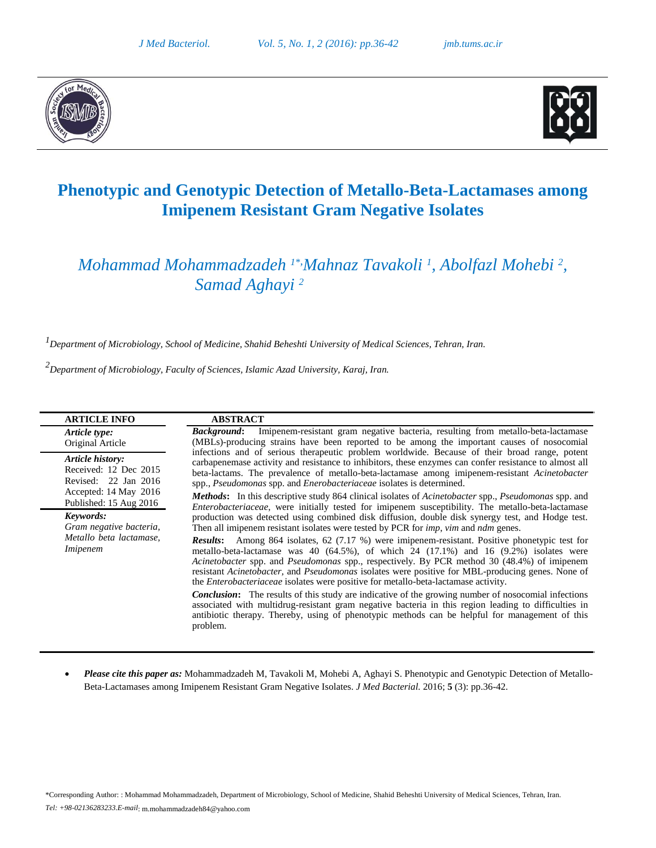



# **Phenotypic and Genotypic Detection of Metallo-Beta-Lactamases among Imipenem Resistant Gram Negative Isolates**

*Mohammad Mohammadzadeh 1\*,Mahnaz Tavakoli <sup>1</sup> , Abolfazl Mohebi <sup>2</sup> , Samad Aghayi <sup>2</sup>*

*<sup>1</sup>Department of Microbiology, School of Medicine, Shahid Beheshti University of Medical Sciences, Tehran, Iran.*

*<sup>2</sup>Department of Microbiology, Faculty of Sciences, Islamic Azad University, Karaj, Iran.*

| <b>ARTICLE INFO</b>                                                         | <b>ABSTRACT</b>                                                                                                                                                                                                                                                                                                                                                                                                                                                                                                                                                                                                                                                                                                                                                                                                                          |
|-----------------------------------------------------------------------------|------------------------------------------------------------------------------------------------------------------------------------------------------------------------------------------------------------------------------------------------------------------------------------------------------------------------------------------------------------------------------------------------------------------------------------------------------------------------------------------------------------------------------------------------------------------------------------------------------------------------------------------------------------------------------------------------------------------------------------------------------------------------------------------------------------------------------------------|
| Article type:<br>Original Article                                           | Imiperem-resistant gram negative bacteria, resulting from metallo-beta-lactamase<br><b>Background:</b><br>(MBLs)-producing strains have been reported to be among the important causes of nosocomial                                                                                                                                                                                                                                                                                                                                                                                                                                                                                                                                                                                                                                     |
| Article history:<br>Received: 12 Dec 2015<br>Revised: 22 Jan 2016           | infections and of serious therapeutic problem worldwide. Because of their broad range, potent<br>carbapenemase activity and resistance to inhibitors, these enzymes can confer resistance to almost all<br>beta-lactams. The prevalence of metallo-beta-lactamase among imipenem-resistant Acinetobacter<br>spp., Pseudomonas spp. and Enerobacteriaceae isolates is determined.                                                                                                                                                                                                                                                                                                                                                                                                                                                         |
| Accepted: 14 May 2016<br>Published: 15 Aug 2016                             | <b>Methods:</b> In this descriptive study 864 clinical isolates of <i>Acinetobacter</i> spp., <i>Pseudomonas</i> spp. and<br><i>Enterobacteriaceae</i> , were initially tested for imipenem susceptibility. The metallo-beta-lactamase                                                                                                                                                                                                                                                                                                                                                                                                                                                                                                                                                                                                   |
| Keywords:<br>Gram negative bacteria,<br>Metallo beta lactamase,<br>Imipenem | production was detected using combined disk diffusion, double disk synergy test, and Hodge test.<br>Then all imipenem resistant isolates were tested by PCR for <i>imp</i> , <i>vim</i> and <i>ndm</i> genes.<br><b>Results:</b> Among 864 isolates, 62 (7.17 %) were imipenem-resistant. Positive phonetypic test for<br>metallo-beta-lactamase was 40 $(64.5\%)$ , of which 24 $(17.1\%)$ and 16 $(9.2\%)$ isolates were<br>Acinetobacter spp. and Pseudomonas spp., respectively. By PCR method 30 (48.4%) of imipenem<br>resistant Acinetobacter, and Pseudomonas isolates were positive for MBL-producing genes. None of<br>the <i>Enterobacteriaceae</i> isolates were positive for metallo-beta-lactamase activity.<br><b>Conclusion:</b> The results of this study are indicative of the growing number of nosocomial infections |
|                                                                             | associated with multidrug-resistant gram negative bacteria in this region leading to difficulties in<br>antibiotic therapy. Thereby, using of phenotypic methods can be helpful for management of this<br>problem.                                                                                                                                                                                                                                                                                                                                                                                                                                                                                                                                                                                                                       |

 *Please cite this paper as:* Mohammadzadeh M, Tavakoli M, Mohebi A, Aghayi S. Phenotypic and Genotypic Detection of Metallo-Beta-Lactamases among Imipenem Resistant Gram Negative Isolates. *J Med Bacterial.* 2016; **5** (3): pp.36-42.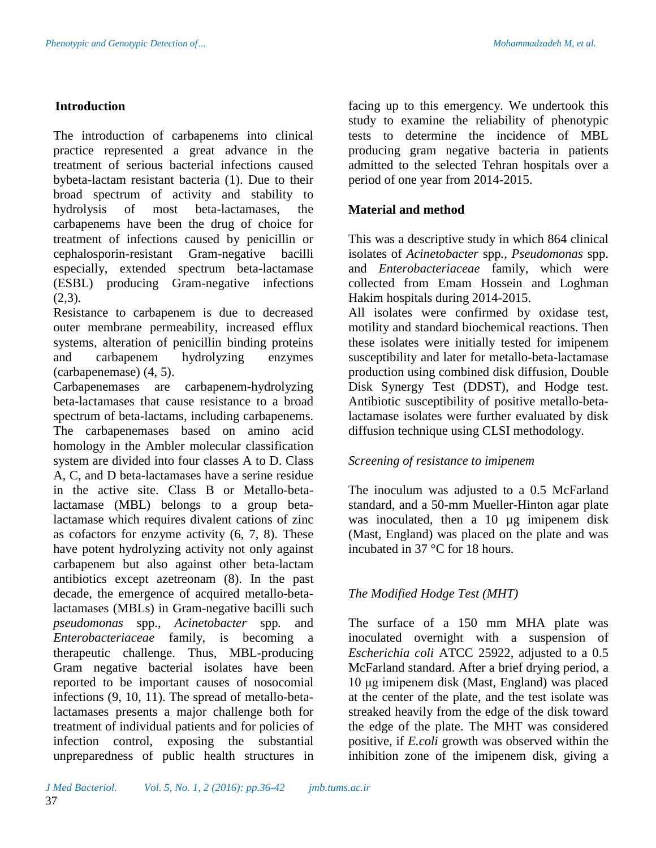### **Introduction**

The introduction of carbapenems into clinical practice represented a great advance in the treatment of serious bacterial infections caused bybeta-lactam resistant bacteria (1). Due to their broad spectrum of activity and stability to hydrolysis of most beta-lactamases, the carbapenems have been the drug of choice for treatment of infections caused by penicillin or cephalosporin-resistant Gram-negative bacilli especially, extended spectrum beta-lactamase (ESBL) producing Gram-negative infections  $(2,3)$ .

Resistance to carbapenem is due to decreased outer membrane permeability, increased efflux systems, alteration of penicillin binding proteins and carbapenem hydrolyzing enzymes (carbapenemase) (4, 5).

Carbapenemases are carbapenem-hydrolyzing beta-lactamases that cause resistance to a broad spectrum of beta-lactams, including carbapenems. The carbapenemases based on amino acid homology in the Ambler molecular classification system are divided into four classes A to D. Class A, C, and D beta-lactamases have a serine residue in the active site. Class B or Metallo-betalactamase (MBL) belongs to a group betalactamase which requires divalent cations of zinc as cofactors for enzyme activity (6, 7, 8). These have potent hydrolyzing activity not only against carbapenem but also against other beta-lactam antibiotics except azetreonam (8). In the past decade, the emergence of acquired metallo-betalactamases (MBLs) in Gram-negative bacilli such *pseudomonas* spp., *Acinetobacter* spp*.* and *Enterobacteriaceae* family, is becoming a therapeutic challenge. Thus, MBL-producing Gram negative bacterial isolates have been reported to be important causes of nosocomial infections (9, 10, 11). The spread of metallo-betalactamases presents a major challenge both for treatment of individual patients and for policies of infection control, exposing the substantial unpreparedness of public health structures in

facing up to this emergency. We undertook this study to examine the reliability of phenotypic tests to determine the incidence of MBL producing gram negative bacteria in patients admitted to the selected Tehran hospitals over a period of one year from 2014-2015.

### **Material and method**

This was a descriptive study in which 864 clinical isolates of *Acinetobacter* spp*.*, *Pseudomonas* spp. and *Enterobacteriaceae* family, which were collected from Emam Hossein and Loghman Hakim hospitals during 2014-2015.

All isolates were confirmed by oxidase test, motility and standard biochemical reactions. Then these isolates were initially tested for imipenem susceptibility and later for metallo-beta-lactamase production using combined disk diffusion, Double Disk Synergy Test (DDST), and Hodge test. Antibiotic susceptibility of positive metallo-betalactamase isolates were further evaluated by disk diffusion technique using CLSI methodology.

### *Screening of resistance to imipenem*

The inoculum was adjusted to a 0.5 McFarland standard, and a 50-mm Mueller-Hinton agar plate was inoculated, then a 10 µg imipenem disk (Mast, England) was placed on the plate and was incubated in 37 °C for 18 hours.

### *The Modified Hodge Test (MHT)*

The surface of a 150 mm MHA plate was inoculated overnight with a suspension of *Escherichia coli* ATCC 25922, adjusted to a 0.5 McFarland standard. After a brief drying period, a 10 μg imipenem disk (Mast, England) was placed at the center of the plate, and the test isolate was streaked heavily from the edge of the disk toward the edge of the plate. The MHT was considered positive, if *E.coli* growth was observed within the inhibition zone of the imipenem disk, giving a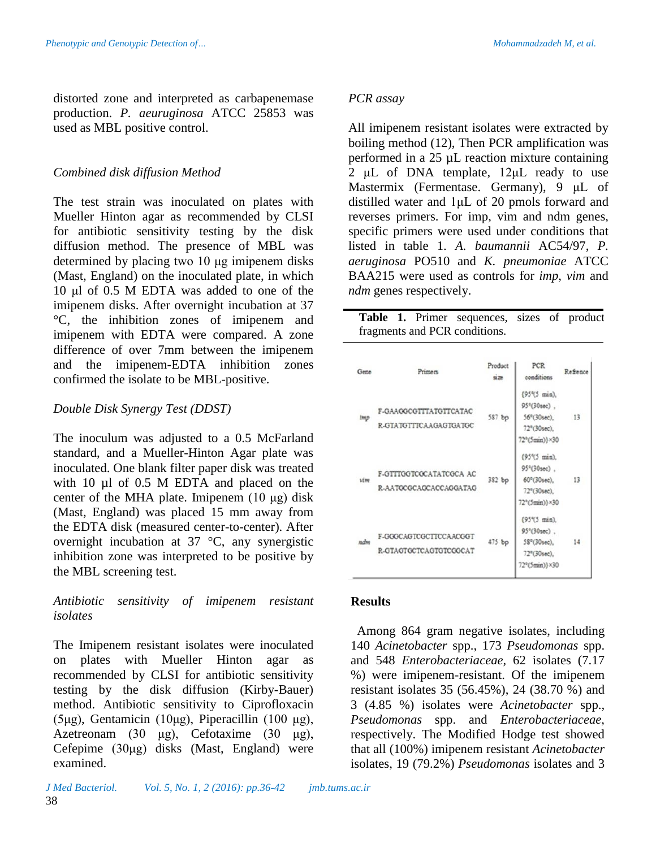distorted zone and interpreted as carbapenemase production. *P. aeuruginosa* ATCC 25853 was used as MBL positive control.

# *Combined disk diffusion Method*

The test strain was inoculated on plates with Mueller Hinton agar as recommended by CLSI for antibiotic sensitivity testing by the disk diffusion method. The presence of MBL was determined by placing two 10 μg imipenem disks (Mast, England) on the inoculated plate, in which 10 μl of 0.5 M EDTA was added to one of the imipenem disks. After overnight incubation at 37 °C, the inhibition zones of imipenem and imipenem with EDTA were compared. A zone difference of over 7mm between the imipenem and the imipenem-EDTA inhibition zones confirmed the isolate to be MBL-positive.

## *Double Disk Synergy Test (DDST)*

The inoculum was adjusted to a 0.5 McFarland standard, and a Mueller-Hinton Agar plate was inoculated. One blank filter paper disk was treated with 10 µl of 0.5 M EDTA and placed on the center of the MHA plate. Imipenem  $(10 \mu g)$  disk (Mast, England) was placed 15 mm away from the EDTA disk (measured center-to-center). After overnight incubation at 37 °C, any synergistic inhibition zone was interpreted to be positive by the MBL screening test.

#### *Antibiotic sensitivity of imipenem resistant isolates*

The Imipenem resistant isolates were inoculated on plates with Mueller Hinton agar as recommended by CLSI for antibiotic sensitivity testing by the disk diffusion (Kirby-Bauer) method. Antibiotic sensitivity to Ciprofloxacin (5μg), Gentamicin (10μg), Piperacillin (100 μg), Azetreonam (30 μg), Cefotaxime (30 μg), Cefepime (30μg) disks (Mast, England) were examined.

# *PCR assay*

All imipenem resistant isolates were extracted by boiling method (12), Then PCR amplification was performed in a 25 µL reaction mixture containing 2 μL of DNA template, 12μL ready to use Mastermix (Fermentase. Germany), 9 μL of distilled water and 1μL of 20 pmols forward and reverses primers. For imp, vim and ndm genes, specific primers were used under conditions that listed in table 1. *A. baumannii* AC54/97, *P. aeruginosa* PO510 and *K. pneumoniae* ATCC BAA215 were used as controls for *imp*, *vim* and *ndm* genes respectively.

**Table 1.** Primer sequences, sizes of product fragments and PCR conditions.

| Gene  | Primers                                           | Product<br>$\frac{1}{2}$ | PCR<br>conditions                                                                                           | Referice |
|-------|---------------------------------------------------|--------------------------|-------------------------------------------------------------------------------------------------------------|----------|
| Imp   | F-GAAGGCGTTTATGTTCATAC<br>R-GTATGTTTCAAGAGTGATGC  | 587 bp                   | {95°(5 min),<br>$95^{\circ}(30sec)$ .<br>56°(30sec).<br>72°(30sec).<br>$72^{\circ}$ (5min)}×30              | 13       |
| 1/20  | F-GTTTGGTCGCATATCGCA AC<br>R-AATGCGCAGCACCAGGATAG | 382 bp                   | $(95\%5$ min).<br>95°(30sec).<br>60°(30sec).<br>72°(30sec),<br>72°(5min)}×30                                | 13       |
| razim | F-GGGCAGTCGCTTCCAACGGT<br>R-GTAGTGCTCAGTGTCGGCAT  | $475$ $bp$               | (95°(5 min),<br>$95^{\circ}(30sec)$ .<br>$58^{\circ}$ (30sec),<br>72 <sup>o</sup> (30sec),<br>72°(5min)}×30 | 14       |

### **Results**

 Among 864 gram negative isolates, including 140 *Acinetobacter* spp., 173 *Pseudomonas* spp. and 548 *Enterobacteriaceae*, 62 isolates (7.17 %) were imipenem-resistant. Of the imipenem resistant isolates 35 (56.45%), 24 (38.70 %) and 3 (4.85 %) isolates were *Acinetobacter* spp.*, Pseudomonas* spp. and *Enterobacteriaceae*, respectively. The Modified Hodge test showed that all (100%) imipenem resistant *Acinetobacter* isolates, 19 (79.2%) *Pseudomonas* isolates and 3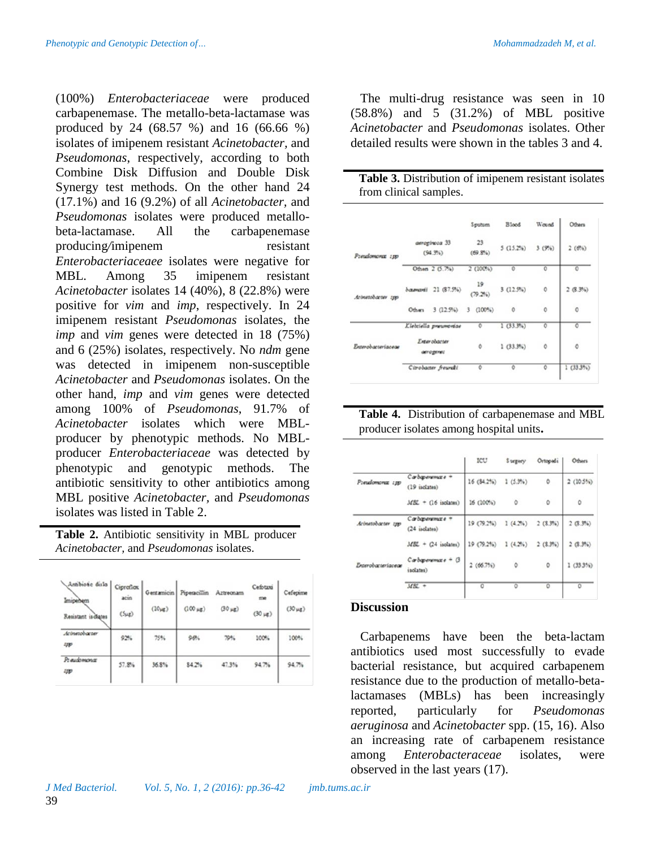(100%) *Enterobacteriaceae* were produced carbapenemase. The metallo-beta-lactamase was produced by 24 (68.57 %) and 16 (66.66 %) isolates of imipenem resistant *Acinetobacter,* and *Pseudomonas*, respectively, according to both Combine Disk Diffusion and Double Disk Synergy test methods. On the other hand 24 (17.1%) and 16 (9.2%) of all *Acinetobacter,* and *Pseudomonas* isolates were produced metallobeta-lactamase. All the carbapenemase producing*/*imipenem resistant *Enterobacteriaceaee* isolates were negative for MBL. Among 35 imipenem resistant *Acinetobacter* isolates 14 (40%), 8 (22.8%) were positive for *vim* and *imp*, respectively. In 24 imipenem resistant *Pseudomonas* isolates, the *imp* and *vim* genes were detected in 18 (75%) and 6 (25%) isolates, respectively. No *ndm* gene was detected in imipenem non-susceptible *Acinetobacter* and *Pseudomonas* isolates. On the other hand, *imp* and *vim* genes were detected among 100% of *Pseudomonas*, 91.7% of *Acinetobacter* isolates which were MBLproducer by phenotypic methods. No MBLproducer *Enterobacteriaceae* was detected by phenotypic and genotypic methods. The antibiotic sensitivity to other antibiotics among MBL positive *Acinetobacter,* and *Pseudomonas* isolates was listed in Table 2.

**Table 2.** Antibiotic sensitivity in MBL producer *Acinetobacter,* and *Pseudomonas* isolates.

| Amibiotic disla<br>Imipenem<br>Resistant is diates | Ciproflox<br>acin<br>$(S_{MB})$ | Gentamicin<br>(10 <sub>14</sub> ) | $(100 \mu$ g) | Piperacillin Aztreonam<br>$(30 \mu B)$ | Cefotaxi<br>me<br>$(30 \mu g)$ | Cefepime<br>$(30 \mu g)$ |
|----------------------------------------------------|---------------------------------|-----------------------------------|---------------|----------------------------------------|--------------------------------|--------------------------|
| Acinetobacter<br><b>UP</b>                         | 92%                             | 75%                               | 90%           | 79%                                    | 100%                           | 100%                     |
| Preudomonar<br>цp                                  | 57.8%                           | 36.8%                             | 84.2%         | 47.3%                                  | 94.7%                          | 94.7%                    |

 The multi-drug resistance was seen in 10 (58.8%) and 5 (31.2%) of MBL positive *Acinetobacter* and *Pseudomonas* isolates. Other detailed results were shown in the tables 3 and 4.

**Table 3.** Distribution of imipenem resistant isolates from clinical samples.

|                    |                            |                           |               | Sputum        | Blood    | Wound.  | Others         |
|--------------------|----------------------------|---------------------------|---------------|---------------|----------|---------|----------------|
| Pseudomona spp     | aeroginosa 33<br>(94.3%)   |                           |               | 23<br>(69.8%) | 5(15.2%) | 3(9%)   | 2(6%)          |
|                    |                            | Others 2 (5.7%)           | 2 (100%)      |               | 0        | 0       | 0              |
| Acinetobacter syp  |                            | basmanti 21 (87.9%)       | 19<br>(79.2%) |               | 3(12.5%) | 0       | 2(8.3%)        |
|                    |                            | Others 3 (12.5%) 3 (100%) |               |               | $\circ$  | $\circ$ | $\circ$        |
|                    |                            | Klebziella preumoriae     |               | 0             | 1(33.3%) | 0       | $\overline{0}$ |
| Enterobacteriaceae | Eveer obacter<br>aerogenea |                           |               | Ó             | 1(33.3%) | Ò       | Ó              |
|                    |                            | Citrobacter freund i      |               | ō             | $\circ$  | Ò       | 1(33.35i)      |

| Table 4. Distribution of carbapenemase and MBL |
|------------------------------------------------|
| producer isolates among hospital units.        |

|                    |                                    | ICU        | Surgery | Ortopadi | Others   |
|--------------------|------------------------------------|------------|---------|----------|----------|
| Pseudomona spp     | Carbapenemate +<br>$(19$ isolates) | 16(34.2%)  | 1(5.3%) | ٥        | 2(10.5%) |
|                    | $MBL$ + (16 isolates)              | 16 (100%)  | $\circ$ | O        | $\circ$  |
| Acinetobacter zpp  | Carbapenimate *<br>$(24$ isolates) | 19 (79.2%) | 1(4.2%) | 2(8.3%)  | 2(8.3%)  |
|                    | $MBL + C4$ isolates)               | 19 (79.2%) | 1(4.2%) | 2(8.3%)  | 2(8.3%)  |
| Enterobacteriaceae | $Ca$ bapenemate + $G$<br>isolates) | 2(66.7%)   | $\circ$ | $\circ$  | 1(33.3%) |
|                    | $MSL +$                            | 0          | $\circ$ | Ö        | 0        |

### **Discussion**

 Carbapenems have been the beta-lactam antibiotics used most successfully to evade bacterial resistance, but acquired carbapenem resistance due to the production of metallo-betalactamases (MBLs) has been increasingly reported, particularly for *Pseudomonas aeruginosa* and *Acinetobacter* spp. (15, 16). Also an increasing rate of carbapenem resistance among *Enterobacteraceae* isolates, were observed in the last years (17).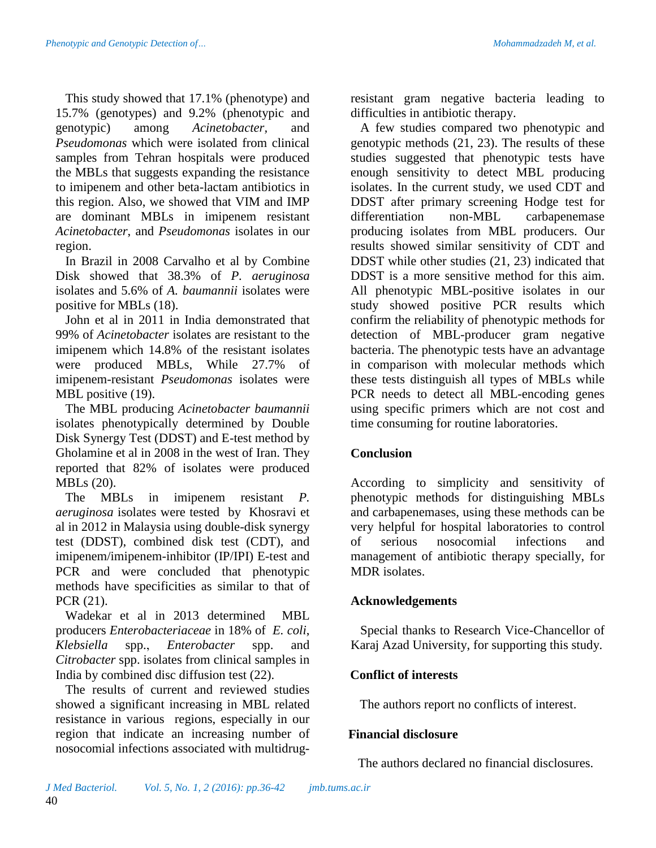This study showed that 17.1% (phenotype) and 15.7% (genotypes) and 9.2% (phenotypic and genotypic) among *Acinetobacter,* and *Pseudomonas* which were isolated from clinical samples from Tehran hospitals were produced the MBLs that suggests expanding the resistance to imipenem and other beta-lactam antibiotics in this region. Also, we showed that VIM and IMP are dominant MBLs in imipenem resistant *Acinetobacter*, and *Pseudomonas* isolates in our region.

 In Brazil in 2008 Carvalho et al by Combine Disk showed that 38.3% of *P. aeruginosa* isolates and 5.6% of *A. baumannii* isolates were positive for MBLs (18).

John et al in 2011 in India demonstrated that 99% of *Acinetobacter* isolates are resistant to the imipenem which 14.8% of the resistant isolates were produced MBLs, While 27.7% of imipenem-resistant *Pseudomonas* isolates were MBL positive  $(19)$ .

 The MBL producing *Acinetobacter baumannii* isolates phenotypically determined by Double Disk Synergy Test (DDST) and E-test method by Gholamine et al in 2008 in the west of Iran. They reported that 82% of isolates were produced MBLs (20).

 The MBLs in imipenem resistant *P. aeruginosa* isolates were tested by Khosravi et al in 2012 in Malaysia using double-disk synergy test (DDST), combined disk test (CDT), and imipenem/imipenem-inhibitor (IP/IPI) E-test and PCR and were concluded that phenotypic methods have specificities as similar to that of PCR (21).

 Wadekar et al in 2013 determined MBL producers *Enterobacteriaceae* in 18% of *E. coli*, *Klebsiella* spp., *Enterobacter* spp. and *Citrobacter* spp. isolates from clinical samples in India by combined disc diffusion test (22).

 The results of current and reviewed studies showed a significant increasing in MBL related resistance in various regions, especially in our region that indicate an increasing number of nosocomial infections associated with multidrugresistant gram negative bacteria leading to difficulties in antibiotic therapy.

 A few studies compared two phenotypic and genotypic methods (21, 23). The results of these studies suggested that phenotypic tests have enough sensitivity to detect MBL producing isolates. In the current study, we used CDT and DDST after primary screening Hodge test for differentiation non-MBL carbapenemase producing isolates from MBL producers. Our results showed similar sensitivity of CDT and DDST while other studies (21, 23) indicated that DDST is a more sensitive method for this aim. All phenotypic MBL-positive isolates in our study showed positive PCR results which confirm the reliability of phenotypic methods for detection of MBL-producer gram negative bacteria. The phenotypic tests have an advantage in comparison with molecular methods which these tests distinguish all types of MBLs while PCR needs to detect all MBL-encoding genes using specific primers which are not cost and time consuming for routine laboratories.

# **Conclusion**

According to simplicity and sensitivity of phenotypic methods for distinguishing MBLs and carbapenemases, using these methods can be very helpful for hospital laboratories to control of serious nosocomial infections and management of antibiotic therapy specially, for MDR isolates.

### **Acknowledgements**

 Special thanks to Research Vice-Chancellor of Karaj Azad University, for supporting this study.

### **Conflict of interests**

The authors report no conflicts of interest.

### **Financial disclosure**

The authors declared no financial disclosures.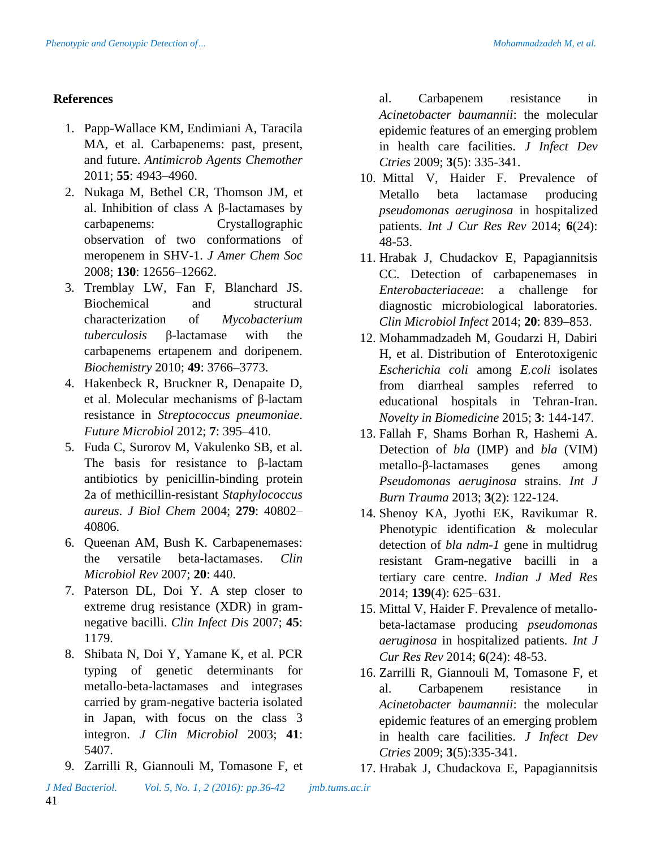# **References**

- 1. Papp-Wallace KM, Endimiani A, Taracila MA, et al. Carbapenems: past, present, and future. *Antimicrob Agents Chemother* 2011; **55**: 4943–4960.
- 2. Nukaga M, Bethel CR, Thomson JM, et al. Inhibition of class A β-lactamases by carbapenems: Crystallographic observation of two conformations of meropenem in SHV-1. *J Amer Chem Soc* 2008; **130**: 12656–12662.
- 3. Tremblay LW, Fan F, Blanchard JS. Biochemical and structural characterization of *Mycobacterium tuberculosis* β-lactamase with the carbapenems ertapenem and doripenem. *Biochemistry* 2010; **49**: 3766–3773.
- 4. Hakenbeck R, Bruckner R, Denapaite D, et al. Molecular mechanisms of β-lactam resistance in *Streptococcus pneumoniae*. *Future Microbiol* 2012; **7**: 395–410.
- 5. Fuda C, Surorov M, Vakulenko SB, et al. The basis for resistance to β-lactam antibiotics by penicillin-binding protein 2a of methicillin-resistant *Staphylococcus aureus*. *J Biol Chem* 2004; **279**: 40802– 40806.
- 6. Queenan AM, Bush K. Carbapenemases: the versatile beta-lactamases. *Clin Microbiol Rev* 2007; **20**: 440.
- 7. Paterson DL, Doi Y. A step closer to extreme drug resistance (XDR) in gramnegative bacilli. *Clin Infect Dis* 2007; **45**: 1179.
- 8. Shibata N, Doi Y, Yamane K, et al. PCR typing of genetic determinants for metallo-beta-lactamases and integrases carried by gram-negative bacteria isolated in Japan, with focus on the class 3 integron. *J Clin Microbiol* 2003; **41**: 5407.
- 9. Zarrilli R, Giannouli M, Tomasone F, et

al. Carbapenem resistance in *Acinetobacter baumannii*: the molecular epidemic features of an emerging problem in health care facilities. *J Infect Dev Ctries* 2009; **3**(5): 335-341.

- 10. Mittal V, Haider F. Prevalence of Metallo beta lactamase producing *pseudomonas aeruginosa* in hospitalized patients. *Int J Cur Res Rev* 2014; **6**(24): 48-53.
- 11. Hrabak J, Chudackov E, Papagiannitsis CC. Detection of carbapenemases in *Enterobacteriaceae*: a challenge for diagnostic microbiological laboratories. *Clin Microbiol Infect* 2014; **20**: 839–853.
- 12. Mohammadzadeh M, Goudarzi H, Dabiri H, et al. Distribution of Enterotoxigenic *Escherichia coli* among *E.coli* isolates from diarrheal samples referred to educational hospitals in Tehran-Iran. *Novelty in Biomedicine* 2015; **3**: 144-147.
- 13. Fallah F, Shams Borhan R, Hashemi A. Detection of *bla* (IMP) and *bla* (VIM) metallo-β-lactamases genes among *Pseudomonas aeruginosa* strains. *Int J Burn Trauma* 2013; **3**(2): 122-124.
- 14. Shenoy KA, Jyothi EK, Ravikumar R. Phenotypic identification & molecular detection of *bla ndm-1* gene in multidrug resistant Gram-negative bacilli in a tertiary care centre. *Indian J Med Res* 2014; **139**(4): 625–631.
- 15. Mittal V, Haider F. Prevalence of metallobeta-lactamase producing *pseudomonas aeruginosa* in hospitalized patients. *Int J Cur Res Rev* 2014; **6**(24): 48-53.
- 16. Zarrilli R, Giannouli M, Tomasone F, et al. Carbapenem resistance in *Acinetobacter baumannii*: the molecular epidemic features of an emerging problem in health care facilities. *J Infect Dev Ctries* 2009; **3**(5):335-341.
- 17. Hrabak J, Chudackova E, Papagiannitsis